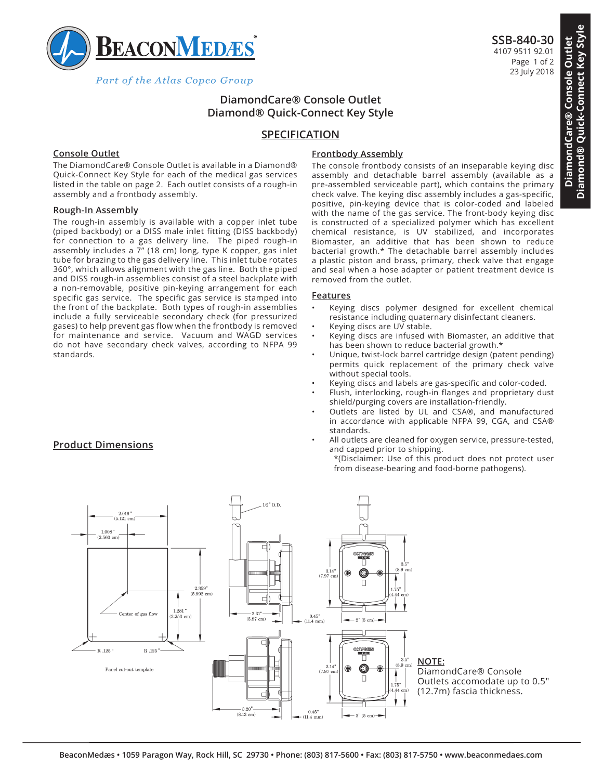

Part of the Atlas Copco Group

# **DiamondCare® Console Outlet Diamond® Quick-Connect Key Style**

## **SPECIFICATION**

## **Console Outlet**

The DiamondCare® Console Outlet is available in a Diamond® Quick-Connect Key Style for each of the medical gas services listed in the table on page 2. Each outlet consists of a rough-in assembly and a frontbody assembly.

#### **Rough-In Assembly**

The rough-in assembly is available with a copper inlet tube (piped backbody) or a DISS male inlet fitting (DISS backbody) for connection to a gas delivery line. The piped rough-in assembly includes a  $\bar{7}$ " (18 cm) long, type K copper, gas inlet tube for brazing to the gas delivery line. This inlet tube rotates 360°, which allows alignment with the gas line. Both the piped and DISS rough-in assemblies consist of a steel backplate with a non-removable, positive pin-keying arrangement for each specific gas service. The specific gas service is stamped into the front of the backplate. Both types of rough-in assemblies include a fully serviceable secondary check (for pressurized gases) to help prevent gas flow when the frontbody is removed for maintenance and service. Vacuum and WAGD services do not have secondary check valves, according to NFPA 99 standards.

## **Frontbody Assembly**

The console frontbody consists of an inseparable keying disc assembly and detachable barrel assembly (available as a pre-assembled serviceable part), which contains the primary check valve. The keying disc assembly includes a gas-specific, positive, pin-keying device that is color-coded and labeled with the name of the gas service. The front-body keying disc is constructed of a specialized polymer which has excellent chemical resistance, is UV stabilized, and incorporates Biomaster, an additive that has been shown to reduce bacterial growth.\* The detachable barrel assembly includes a plastic piston and brass, primary, check valve that engage and seal when a hose adapter or patient treatment device is removed from the outlet.

#### **Features**

- Keying discs polymer designed for excellent chemical resistance including quaternary disinfectant cleaners.
- Keying discs are UV stable.
- Keying discs are infused with Biomaster, an additive that has been shown to reduce bacterial growth.\*
- Unique, twist-lock barrel cartridge design (patent pending) permits quick replacement of the primary check valve without special tools.
- Keying discs and labels are gas-specific and color-coded.
- Flush, interlocking, rough-in flanges and proprietary dust shield/purging covers are installation-friendly.
- Outlets are listed by UL and CSA®, and manufactured in accordance with applicable NFPA 99, CGA, and CSA® standards.
- All outlets are cleaned for oxygen service, pressure-tested, and capped prior to shipping. \*(Disclaimer: Use of this product does not protect user from disease-bearing and food-borne pathogens).



**Product Dimensions**